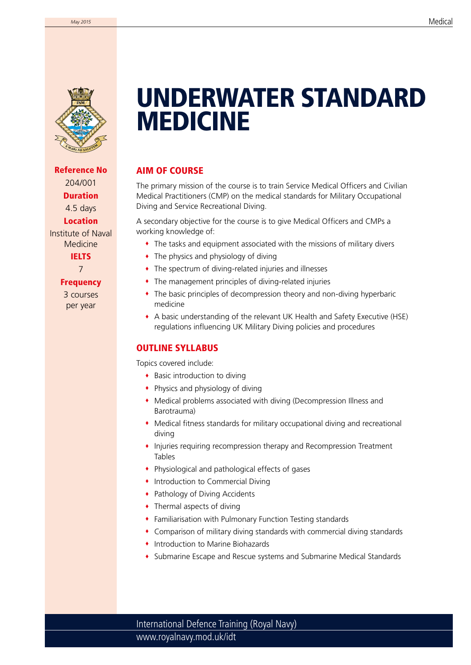

Reference No 204/001 Duration 4.5 days Location

Institute of Naval Medicine

> **IELTS** 7

#### **Frequency**

3 courses per year

# **INM** UNDERWATER STANDARD MEDICINE

### AIM OF COURSE

The primary mission of the course is to train Service Medical Officers and Civilian Medical Practitioners (CMP) on the medical standards for Military Occupational Diving and Service Recreational Diving.

A secondary objective for the course is to give Medical Officers and CMPs a working knowledge of:

- The tasks and equipment associated with the missions of military divers
- The physics and physiology of diving
- The spectrum of diving-related injuries and illnesses
- The management principles of diving-related injuries
- The basic principles of decompression theory and non-diving hyperbaric medicine
- A basic understanding of the relevant UK Health and Safety Executive (HSE) regulations influencing UK Military Diving policies and procedures

### OUTLINE SYLLABUS

Topics covered include:

- Basic introduction to diving
- Physics and physiology of diving
- Medical problems associated with diving (Decompression Illness and Barotrauma)
- Medical fitness standards for military occupational diving and recreational diving
- Injuries requiring recompression therapy and Recompression Treatment Tables
- Physiological and pathological effects of gases
- Introduction to Commercial Diving
- Pathology of Diving Accidents
- Thermal aspects of diving
- Familiarisation with Pulmonary Function Testing standards
- Comparison of military diving standards with commercial diving standards
- **Introduction to Marine Biohazards**
- Submarine Escape and Rescue systems and Submarine Medical Standards